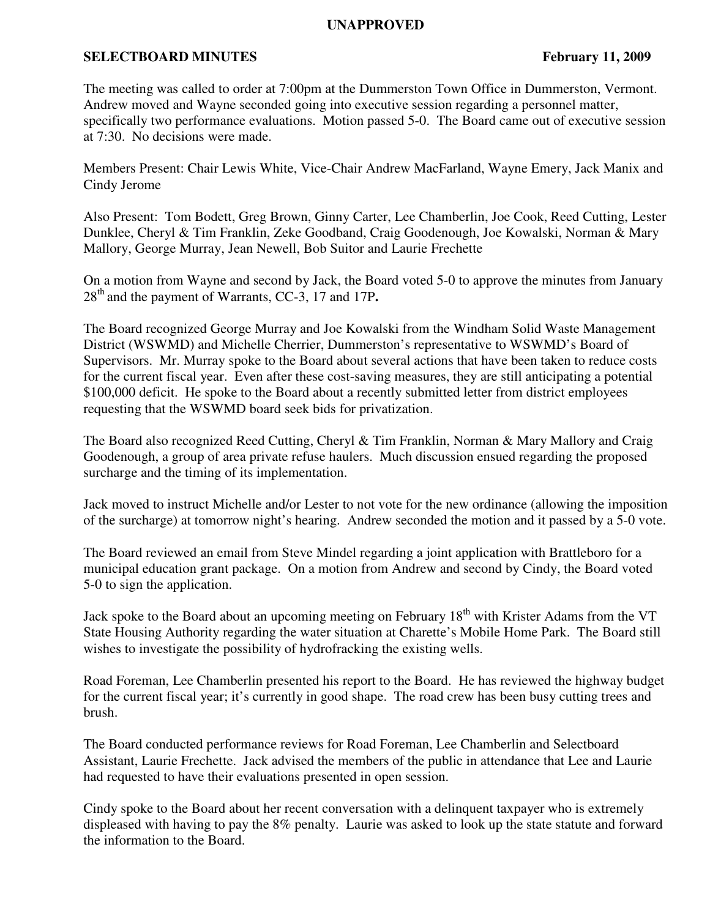## **UNAPPROVED**

## **SELECTBOARD MINUTES** February 11, 2009

The meeting was called to order at 7:00pm at the Dummerston Town Office in Dummerston, Vermont. Andrew moved and Wayne seconded going into executive session regarding a personnel matter, specifically two performance evaluations. Motion passed 5-0. The Board came out of executive session at 7:30. No decisions were made.

Members Present: Chair Lewis White, Vice-Chair Andrew MacFarland, Wayne Emery, Jack Manix and Cindy Jerome

Also Present: Tom Bodett, Greg Brown, Ginny Carter, Lee Chamberlin, Joe Cook, Reed Cutting, Lester Dunklee, Cheryl & Tim Franklin, Zeke Goodband, Craig Goodenough, Joe Kowalski, Norman & Mary Mallory, George Murray, Jean Newell, Bob Suitor and Laurie Frechette

On a motion from Wayne and second by Jack, the Board voted 5-0 to approve the minutes from January 28th and the payment of Warrants, CC-3, 17 and 17P**.**

The Board recognized George Murray and Joe Kowalski from the Windham Solid Waste Management District (WSWMD) and Michelle Cherrier, Dummerston's representative to WSWMD's Board of Supervisors. Mr. Murray spoke to the Board about several actions that have been taken to reduce costs for the current fiscal year. Even after these cost-saving measures, they are still anticipating a potential \$100,000 deficit. He spoke to the Board about a recently submitted letter from district employees requesting that the WSWMD board seek bids for privatization.

The Board also recognized Reed Cutting, Cheryl & Tim Franklin, Norman & Mary Mallory and Craig Goodenough, a group of area private refuse haulers. Much discussion ensued regarding the proposed surcharge and the timing of its implementation.

Jack moved to instruct Michelle and/or Lester to not vote for the new ordinance (allowing the imposition of the surcharge) at tomorrow night's hearing. Andrew seconded the motion and it passed by a 5-0 vote.

The Board reviewed an email from Steve Mindel regarding a joint application with Brattleboro for a municipal education grant package. On a motion from Andrew and second by Cindy, the Board voted 5-0 to sign the application.

Jack spoke to the Board about an upcoming meeting on February 18<sup>th</sup> with Krister Adams from the VT State Housing Authority regarding the water situation at Charette's Mobile Home Park. The Board still wishes to investigate the possibility of hydrofracking the existing wells.

Road Foreman, Lee Chamberlin presented his report to the Board. He has reviewed the highway budget for the current fiscal year; it's currently in good shape. The road crew has been busy cutting trees and brush.

The Board conducted performance reviews for Road Foreman, Lee Chamberlin and Selectboard Assistant, Laurie Frechette. Jack advised the members of the public in attendance that Lee and Laurie had requested to have their evaluations presented in open session.

Cindy spoke to the Board about her recent conversation with a delinquent taxpayer who is extremely displeased with having to pay the 8% penalty. Laurie was asked to look up the state statute and forward the information to the Board.